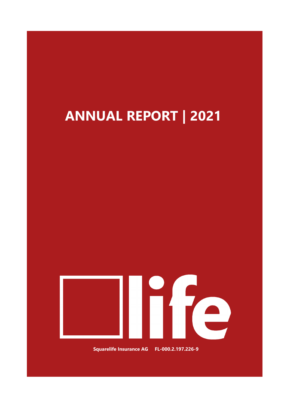# **ANNUAL REPORT | 2021**



**Squarelife Insurance AG FL-000.2.197.226-9**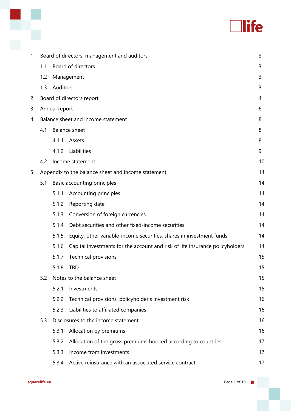# **Tlife**

| 1 | Board of directors, management and auditors |               |                                                                              |    |  |
|---|---------------------------------------------|---------------|------------------------------------------------------------------------------|----|--|
|   | 1.1                                         |               | Board of directors                                                           | 3  |  |
|   | 1.2                                         |               | Management                                                                   | 3  |  |
|   | 1.3                                         | Auditors      |                                                                              | 3  |  |
| 2 |                                             |               | Board of directors report                                                    | 4  |  |
| 3 |                                             | Annual report |                                                                              | 6  |  |
| 4 |                                             |               | Balance sheet and income statement                                           | 8  |  |
|   | 4.1                                         |               | <b>Balance sheet</b>                                                         | 8  |  |
|   |                                             | 4.1.1         | Assets                                                                       | 8  |  |
|   |                                             | 4.1.2         | Liabilities                                                                  | 9  |  |
|   | 4.2                                         |               | Income statement                                                             | 10 |  |
| 5 |                                             |               | Appendix to the balance sheet and income statement                           | 14 |  |
|   | 5.1                                         |               | Basic accounting principles                                                  | 14 |  |
|   |                                             | 5.1.1         | Accounting principles                                                        | 14 |  |
|   |                                             | 5.1.2         | Reporting date                                                               | 14 |  |
|   |                                             | 5.1.3         | Conversion of foreign currencies                                             | 14 |  |
|   |                                             | 5.1.4         | Debt securities and other fixed-income securities                            | 14 |  |
|   |                                             | 5.1.5         | Equity, other variable-income securities, shares in investment funds         | 14 |  |
|   |                                             | 5.1.6         | Capital investments for the account and risk of life insurance policyholders | 14 |  |
|   |                                             | 5.1.7         | <b>Technical provisions</b>                                                  | 15 |  |
|   |                                             | 5.1.8         | <b>TBD</b>                                                                   | 15 |  |
|   | 5.2                                         |               | Notes to the balance sheet                                                   | 15 |  |
|   |                                             | 5.2.1         | Investments                                                                  | 15 |  |
|   |                                             | 5.2.2         | Technical provisions, policyholder's investment risk                         | 16 |  |
|   |                                             | 5.2.3         | Liabilities to affiliated companies                                          | 16 |  |
|   | 5.3                                         |               | Disclosures to the income statement                                          | 16 |  |
|   |                                             | 5.3.1         | Allocation by premiums                                                       | 16 |  |
|   |                                             | 5.3.2         | Allocation of the gross premiums booked according to countries               | 17 |  |
|   |                                             | 5.3.3         | Income from investments                                                      | 17 |  |
|   |                                             | 5.3.4         | Active reinsurance with an associated service contract                       | 17 |  |

x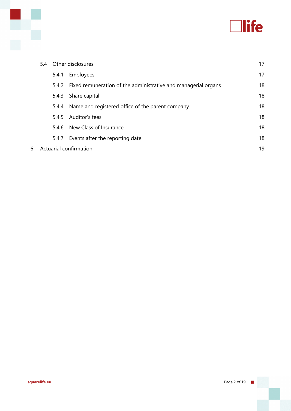

|   |       | 5.4 Other disclosures                                                | 17 |
|---|-------|----------------------------------------------------------------------|----|
|   | 5.4.1 | Employees                                                            | 17 |
|   |       | 5.4.2 Fixed remuneration of the administrative and managerial organs | 18 |
|   | 5.4.3 | Share capital                                                        | 18 |
|   | 5.4.4 | Name and registered office of the parent company                     | 18 |
|   | 5.4.5 | Auditor's fees                                                       | 18 |
|   | 5.4.6 | New Class of Insurance                                               | 18 |
|   | 5.4.7 | Events after the reporting date                                      | 18 |
| 6 |       | Actuarial confirmation                                               | 19 |

Ķ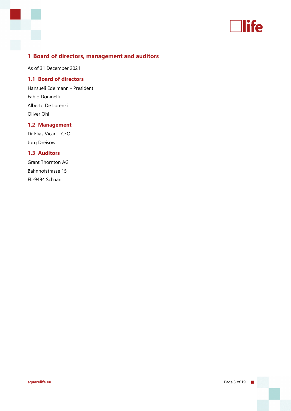

# **1 Board of directors, management and auditors**

As of 31 December 2021

## **1.1 Board of directors**

Hansueli Edelmann - President Fabio Doninelli Alberto De Lorenzi Oliver Ohl

## **1.2 Management**

Dr Elias Vicari - CEO Jörg Dreisow

## **1.3 Auditors**

Grant Thornton AG Bahnhofstrasse 15 FL-9494 Schaan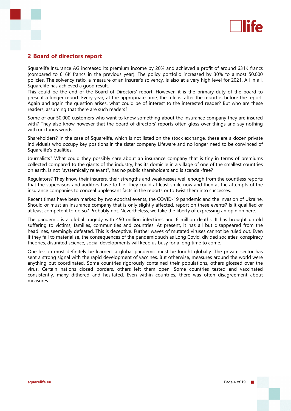

## **2 Board of directors report**

Squarelife lnsurance AG increased its premium income by 20% and achieved a profit of around 631K francs (compared to 616K francs in the previous year). The policy portfolio increased by 30% to almost 50,000 policies. The solvency ratio, a measure of an insurer's solvency, is also at a very high level for 2021. All in all, Squarelife has achieved a good result.

This could be the end of the Board of Directors' report. However, it is the primary duty of the board to present a longer report. Every year, at the appropriate time, the rule is: after the report is before the report. Again and again the question arises, what could be of interest to the interested reader? But who are these readers, assuming that there are such readers?

Some of our 50,000 customers who want to know something about the insurance company they are insured with? They also know however that the board of directors' reports often gloss over things and say nothing with unctuous words.

Shareholders? In the case of Squarelife, which is not listed on the stock exchange, these are a dozen private individuals who occupy key positions in the sister company Lifeware and no longer need to be convinced of Squarelife's qualities.

Journalists? What could they possibly care about an insurance company that is tiny in terms of premiums collected compared to the giants of the industry, has its domicile in a village of one of the smallest countries on earth, is not "systemically relevant", has no public shareholders and is scandal-free?

Regulators? They know their insurers, their strengths and weaknesses well enough from the countless reports that the supervisors and auditors have to file. They could at least smile now and then at the attempts of the insurance companies to conceal unpleasant facts in the reports or to twist them into successes.

Recent times have been marked by two epochal events, the COVID-19 pandemic and the invasion of Ukraine. Should or must an insurance company that is only slightly affected, report on these events? Is it qualified or at least competent to do so? Probably not. Nevertheless, we take the liberty of expressing an opinion here.

The pandemic is a global tragedy with 450 million infections and 6 million deaths. It has brought untold suffering to victims, families, communities and countries. At present, it has all but disappeared from the headlines, seemingly defeated. This is deceptive. Further waves of mutated viruses cannot be ruled out. Even if they fail to materialise, the consequences of the pandemic such as Long Covid, divided societies, conspiracy theories, disunited science, social developments will keep us busy for a long time to come.

One lesson must definitely be learned: a global pandemic must be fought globally. The private sector has sent a strong signal with the rapid development of vaccines. But otherwise, measures around the world were anything but coordinated. Some countries rigorously contained their populations, others glossed over the virus. Certain nations closed borders, others left them open. Some countries tested and vaccinated consistently, many dithered and hesitated. Even within countries, there was often disagreement about measures.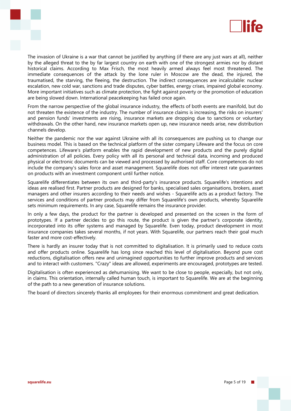

The invasion of Ukraine is a war that cannot be justified by anything (if there are any just wars at all), neither by the alleged threat to the by far largest country on earth with one of the strongest armies nor by distant historical claims. According to Max Frisch, the most heavily armed always feel most threatened. The immediate consequences of the attack by the lone ruler in Moscow are the dead, the injured, the traumatised, the starving, the fleeing, the destruction. The indirect consequences are incalculable: nuclear escalation, new cold war, sanctions and trade disputes, cyber battles, energy crises, impaired global economy. More important initiatives such as climate protection, the fight against poverty or the promotion of education are being slowed down. International peacekeeping has failed once again.

From the narrow perspective of the global insurance industry, the effects of both events are manifold, but do not threaten the existence of the industry. The number of insurance claims is increasing, the risks on insurers' and pension funds' investments are rising, insurance markets are dropping due to sanctions or voluntary withdrawals. On the other hand, new insurance markets open up, new insurance needs arise, new distribution channels develop.

Neither the pandemic nor the war against Ukraine with all its consequences are pushing us to change our business model. This is based on the technical platform of the sister company Lifeware and the focus on core competences. Lifeware's platform enables the rapid development of new products and the purely digital administration of all policies. Every policy with all its personal and technical data, incoming and produced physical or electronic documents can be viewed and processed by authorised staff. Core competences do not include the company's sales force and asset management. Squarelife does not offer interest rate guarantees on products with an investment component until further notice.

Squarelife differentiates between its own and third-party's insurance products. Squarelife's intentions and ideas are realised first. Partner products are designed for banks, specialised sales organisations, brokers, asset managers and other insurers according to their needs and wishes - Squarelife acts as a product factory. The services and conditions of partner products may differ from Squarelife's own products, whereby Squarelife sets minimum requirements. In any case, Squarelife remains the insurance provider.

In only a few days, the product for the partner is developed and presented on the screen in the form of prototypes. If a partner decides to go this route, the product is given the partner's corporate identity, incorporated into its offer systems and managed by Squarelife. Even today, product development in most insurance companies takes several months, if not years. With Squarelife, our partners reach their goal much faster and more cost-effectively.

There is hardly an insurer today that is not committed to digitalisation. It is primarily used to reduce costs and offer products online. Squarelife has long since reached this level of digitalisation. Beyond pure cost reductions, digitalisation offers new and unimagined opportunities to further improve products and services and to interact with customers. "Crazy" ideas are allowed, experiments are encouraged, prototypes are tested.

Digitalisation is often experienced as dehumanising. We want to be close to people, especially, but not only, in claims. This orientation, internally called human touch, is important to Squarelife. We are at the beginning of the path to a new generation of insurance solutions.

The board of directors sincerely thanks all employees for their enormous commitment and great dedication.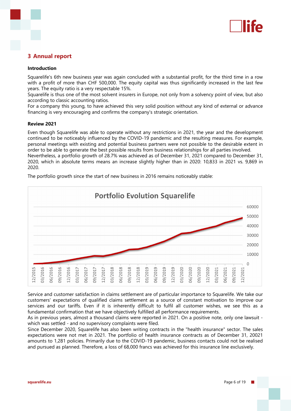

## **3 Annual report**

#### **Introduction**

Squarelife's 6th new business year was again concluded with a substantial profit, for the third time in a row with a profit of more than CHF 500,000. The equity capital was thus significantly increased in the last few years. The equity ratio is a very respectable 15%.

Squarelife is thus one of the most solvent insurers in Europe, not only from a solvency point of view, but also according to classic accounting ratios.

For a company this young, to have achieved this very solid position without any kind of external or advance financing is very encouraging and confirms the company's strategic orientation.

#### **Review 2021**

Even though Squarelife was able to operate without any restrictions in 2021, the year and the development continued to be noticeably influenced by the COVID-19 pandemic and the resulting measures. For example, personal meetings with existing and potential business partners were not possible to the desirable extent in order to be able to generate the best possible results from business relationships for all parties involved. Nevertheless, a portfolio growth of 28.7% was achieved as of December 31, 2021 compared to December 31,

2020, which in absolute terms means an increase slightly higher than in 2020: 10,833 in 2021 vs. 9,869 in 2020.



The portfolio growth since the start of new business in 2016 remains noticeably stable:

Service and customer satisfaction in claims settlement are of particular importance to Squarelife. We take our customers' expectations of qualified claims settlement as a source of constant motivation to improve our services and our tariffs. Even if it is inherently difficult to fulfil all customer wishes, we see this as a fundamental confirmation that we have objectively fulfilled all performance requirements.

As in previous years, almost a thousand claims were reported in 2021. On a positive note, only one lawsuit which was settled - and no supervisory complaints were filed.

Since December 2020, Squarelife has also been writing contracts in the "health insurance" sector. The sales expectations were not met in 2021. The portfolio of health insurance contracts as of December 31, 20021 amounts to 1,281 policies. Primarily due to the COVID-19 pandemic, business contacts could not be realised and pursued as planned. Therefore, a loss of 68,000 francs was achieved for this insurance line exclusively.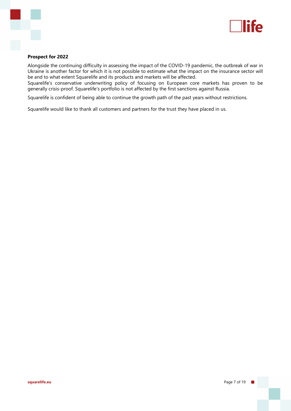

### **Prospect for 2022**

Alongside the continuing difficulty in assessing the impact of the COVID-19 pandemic, the outbreak of war in Ukraine is another factor for which it is not possible to estimate what the impact on the insurance sector will be and to what extent Squarelife and its products and markets will be affected.

Squarelife's conservative underwriting policy of focusing on European core markets has proven to be generally crisis-proof. Squarelife's portfolio is not affected by the first sanctions against Russia.

Squarelife is confident of being able to continue the growth path of the past years without restrictions.

Squarelife would like to thank all customers and partners for the trust they have placed in us.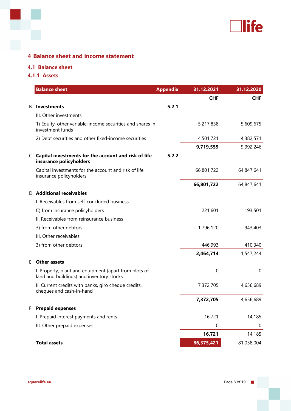

# **4 Balance sheet and income statement**

## **4.1 Balance sheet**

**4.1.1 Assets**

|   | <b>Balance sheet</b>                                                                              | <b>Appendix</b> | 31.12.2021 | 31.12.2020  |
|---|---------------------------------------------------------------------------------------------------|-----------------|------------|-------------|
|   |                                                                                                   |                 | <b>CHF</b> | <b>CHF</b>  |
| B | Investments                                                                                       | 5.2.1           |            |             |
|   | III. Other investments                                                                            |                 |            |             |
|   | 1) Equity, other variable-income securities and shares in<br>investment funds                     |                 | 5,217,838  | 5,609,675   |
|   | 2) Debt securities and other fixed-income securities                                              |                 | 4,501,721  | 4,382,571   |
|   |                                                                                                   |                 | 9,719,559  | 9,992,246   |
|   | C Capital investments for the account and risk of life<br>insurance policyholders                 | 5.2.2           |            |             |
|   | Capital investments for the account and risk of life<br>insurance policyholders                   |                 | 66,801,722 | 64,847,641  |
|   |                                                                                                   |                 | 66,801,722 | 64,847,641  |
|   | D Additional receivables                                                                          |                 |            |             |
|   | I. Receivables from self-concluded business                                                       |                 |            |             |
|   | C) from insurance policyholders                                                                   |                 | 221,601    | 193,501     |
|   | II. Receivables from reinsurance business                                                         |                 |            |             |
|   | 3) from other debtors                                                                             |                 | 1,796,120  | 943,403     |
|   | III. Other receivables                                                                            |                 |            |             |
|   | 3) from other debtors                                                                             |                 | 446,993    | 410,340     |
|   |                                                                                                   |                 | 2,464,714  | 1,547,244   |
| E | <b>Other assets</b>                                                                               |                 |            |             |
|   | I. Property, plant and equipment (apart from plots of<br>land and buildings) and inventory stocks |                 | 0          | $\mathbf 0$ |
|   | II. Current credits with banks, giro cheque credits,<br>cheques and cash-in-hand                  |                 | 7,372,705  | 4,656,689   |
|   |                                                                                                   |                 | 7,372,705  | 4,656,689   |
| F | <b>Prepaid expenses</b>                                                                           |                 |            |             |
|   | I. Prepaid interest payments and rents                                                            |                 | 16,721     | 14,185      |
|   | III. Other prepaid expenses                                                                       |                 | 0          | 0           |
|   |                                                                                                   |                 | 16,721     | 14,185      |
|   | <b>Total assets</b>                                                                               |                 | 86,375,421 | 81,058,004  |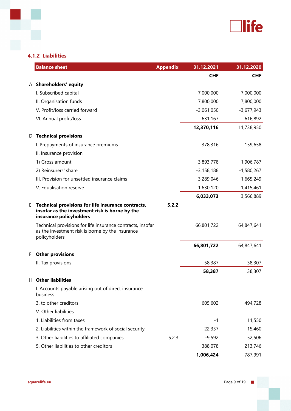

## **4.1.2 Liabilities**

|    | <b>Balance sheet</b>                                                                                                            | <b>Appendix</b> | 31.12.2021   | 31.12.2020   |
|----|---------------------------------------------------------------------------------------------------------------------------------|-----------------|--------------|--------------|
|    |                                                                                                                                 |                 | <b>CHF</b>   | <b>CHF</b>   |
|    | A Shareholders' equity                                                                                                          |                 |              |              |
|    | I. Subscribed capital                                                                                                           |                 | 7,000,000    | 7,000,000    |
|    | II. Organisation funds                                                                                                          |                 | 7,800,000    | 7,800,000    |
|    | V. Profit/loss carried forward                                                                                                  |                 | $-3,061,050$ | $-3,677,943$ |
|    | VI. Annual profit/loss                                                                                                          |                 | 631,167      | 616,892      |
|    |                                                                                                                                 |                 | 12,370,116   | 11,738,950   |
| D  | <b>Technical provisions</b>                                                                                                     |                 |              |              |
|    | I. Prepayments of insurance premiums                                                                                            |                 | 378,316      | 159,658      |
|    | II. Insurance provision                                                                                                         |                 |              |              |
|    | 1) Gross amount                                                                                                                 |                 | 3,893,778    | 1,906,787    |
|    | 2) Reinsurers' share                                                                                                            |                 | $-3,158,188$ | $-1,580,267$ |
|    | III. Provision for unsettled insurance claims                                                                                   |                 | 3,289,046    | 1,665,249    |
|    | V. Equalisation reserve                                                                                                         |                 | 1,630,120    | 1,415,461    |
|    |                                                                                                                                 |                 | 6,033,073    | 3,566,889    |
| Е. | Technical provisions for life insurance contracts,<br>insofar as the investment risk is borne by the<br>insurance policyholders | 5.2.2           |              |              |
|    | Technical provisions for life insurance contracts, insofar<br>as the investment risk is borne by the insurance<br>policyholders |                 | 66,801,722   | 64,847,641   |
|    |                                                                                                                                 |                 | 66,801,722   | 64,847,641   |
| F. | <b>Other provisions</b>                                                                                                         |                 |              |              |
|    | II. Tax provisions                                                                                                              |                 | 58,387       | 38,307       |
|    |                                                                                                                                 |                 | 58,387       | 38,307       |
|    | H Other liabilities                                                                                                             |                 |              |              |
|    | I. Accounts payable arising out of direct insurance<br>business                                                                 |                 |              |              |
|    | 3. to other creditors                                                                                                           |                 | 605,602      | 494,728      |
|    | V. Other liabilities                                                                                                            |                 |              |              |
|    | 1. Liabilities from taxes                                                                                                       |                 | -1           | 11,550       |
|    | 2. Liabilities within the framework of social security                                                                          |                 | 22,337       | 15,460       |
|    | 3. Other liabilities to affiliated companies                                                                                    | 5.2.3           | $-9,592$     | 52,506       |
|    | 5. Other liabilities to other creditors                                                                                         |                 | 388,078      | 213,746      |
|    |                                                                                                                                 |                 | 1,006,424    | 787,991      |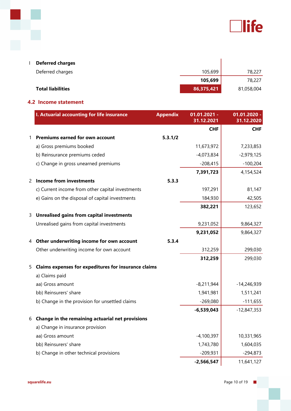

| <b>Deferred charges</b>  |            |            |
|--------------------------|------------|------------|
| Deferred charges         | 105,699    | 78,227     |
|                          | 105,699    | 78,227     |
| <b>Total liabilities</b> | 86,375,421 | 81,058,004 |

## **4.2 Income statement**

r

|   | I. Actuarial accounting for life insurance           | <b>Appendix</b> | $01.01.2021 -$<br>31.12.2021 | 01.01.2020 -<br>31.12.2020 |
|---|------------------------------------------------------|-----------------|------------------------------|----------------------------|
|   |                                                      |                 | <b>CHF</b>                   | <b>CHF</b>                 |
| 1 | <b>Premiums earned for own account</b>               | 5.3.1/2         |                              |                            |
|   | a) Gross premiums booked                             |                 | 11,673,972                   | 7,233,853                  |
|   | b) Reinsurance premiums ceded                        |                 | $-4,073,834$                 | $-2,979,125$               |
|   | c) Change in gross unearned premiums                 |                 | $-208,415$                   | $-100,204$                 |
|   |                                                      |                 | 7,391,723                    | 4,154,524                  |
| 2 | <b>Income from investments</b>                       | 5.3.3           |                              |                            |
|   | c) Current income from other capital investments     |                 | 197,291                      | 81,147                     |
|   | e) Gains on the disposal of capital investments      |                 | 184,930                      | 42,505                     |
|   |                                                      |                 | 382,221                      | 123,652                    |
| 3 | <b>Unrealised gains from capital investments</b>     |                 |                              |                            |
|   | Unrealised gains from capital investments            |                 | 9,231,052                    | 9,864,327                  |
|   |                                                      |                 | 9,231,052                    | 9,864,327                  |
| 4 | Other underwriting income for own account            | 5.3.4           |                              |                            |
|   | Other underwriting income for own account            |                 | 312,259                      | 299,030                    |
|   |                                                      |                 | 312,259                      | 299,030                    |
| 5 | Claims expenses for expeditures for insurance claims |                 |                              |                            |
|   | a) Claims paid                                       |                 |                              |                            |
|   | aa) Gross amount                                     |                 | $-8,211,944$                 | $-14,246,939$              |
|   | bb) Reinsurers' share                                |                 | 1,941,981                    | 1,511,241                  |
|   | b) Change in the provision for unsettled claims      |                 | $-269,080$                   | $-111,655$                 |
|   |                                                      |                 | $-6,539,043$                 | $-12,847,353$              |
| 6 | Change in the remaining actuarial net provisions     |                 |                              |                            |
|   | a) Change in insurance provision                     |                 |                              |                            |
|   | aa) Gross amount                                     |                 | $-4,100,397$                 | 10,331,965                 |
|   | bb) Reinsurers' share                                |                 | 1,743,780                    | 1,604,035                  |
|   | b) Change in other technical provisions              |                 | $-209,931$                   | $-294,873$                 |
|   |                                                      |                 | $-2,566,547$                 | 11,641,127                 |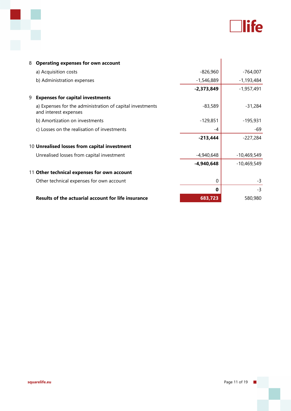

| 8 | <b>Operating expenses for own account</b>                                          |              |               |
|---|------------------------------------------------------------------------------------|--------------|---------------|
|   | a) Acquisition costs                                                               | $-826,960$   | $-764,007$    |
|   | b) Administration expenses                                                         | $-1,546,889$ | $-1,193,484$  |
|   |                                                                                    | $-2,373,849$ | $-1,957,491$  |
| 9 | <b>Expenses for capital investments</b>                                            |              |               |
|   | a) Expenses for the administration of capital investments<br>and interest expenses | $-83,589$    | -31,284       |
|   | b) Amortization on investments                                                     | $-129,851$   | $-195,931$    |
|   | c) Losses on the realisation of investments                                        | -4           | -69           |
|   |                                                                                    | $-213,444$   | $-227,284$    |
|   | 10 Unrealised losses from capital investment                                       |              |               |
|   | Unrealised losses from capital investment                                          | $-4,940,648$ | $-10,469,549$ |
|   |                                                                                    | $-4,940,648$ | $-10,469,549$ |
|   | 11 Other technical expenses for own account                                        |              |               |
|   | Other technical expenses for own account                                           | 0            | $-3$          |
|   |                                                                                    | 0            | $-3$          |
|   | <b>Results of the actuarial account for life insurance</b>                         | 683,723      | 580,980       |

p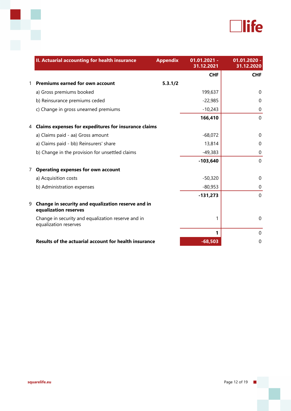

|                | II. Actuarial accounting for health insurance                               | <b>Appendix</b> | $01.01.2021 -$<br>31.12.2021 | $01.01.2020 -$<br>31.12.2020 |
|----------------|-----------------------------------------------------------------------------|-----------------|------------------------------|------------------------------|
|                |                                                                             |                 | <b>CHF</b>                   | <b>CHF</b>                   |
| 1              | <b>Premiums earned for own account</b>                                      | 5.3.1/2         |                              |                              |
|                | a) Gross premiums booked                                                    |                 | 199,637                      | $\Omega$                     |
|                | b) Reinsurance premiums ceded                                               |                 | $-22,985$                    | $\Omega$                     |
|                | c) Change in gross unearned premiums                                        |                 | $-10,243$                    | $\mathbf 0$                  |
|                |                                                                             |                 | 166,410                      | $\mathbf{0}$                 |
| 4              | Claims expenses for expeditures for insurance claims                        |                 |                              |                              |
|                | a) Claims paid - aa) Gross amount                                           |                 | $-68,072$                    | $\Omega$                     |
|                | a) Claims paid - bb) Reinsurers' share                                      |                 | 13,814                       | $\Omega$                     |
|                | b) Change in the provision for unsettled claims                             |                 | $-49,383$                    | $\mathbf 0$                  |
|                |                                                                             |                 | $-103,640$                   | $\mathbf{0}$                 |
| $\overline{7}$ | <b>Operating expenses for own account</b>                                   |                 |                              |                              |
|                | a) Acquisition costs                                                        |                 | $-50,320$                    | $\Omega$                     |
|                | b) Administration expenses                                                  |                 | $-80,953$                    | $\mathbf 0$                  |
|                |                                                                             |                 | $-131,273$                   | $\mathbf 0$                  |
| 9              | Change in security and equalization reserve and in<br>equalization reserves |                 |                              |                              |
|                | Change in security and equalization reserve and in<br>equalization reserves |                 | 1                            | $\mathbf{0}$                 |
|                |                                                                             |                 | 1                            | $\mathbf 0$                  |
|                | Results of the actuarial account for health insurance                       |                 | $-68,503$                    | 0                            |

F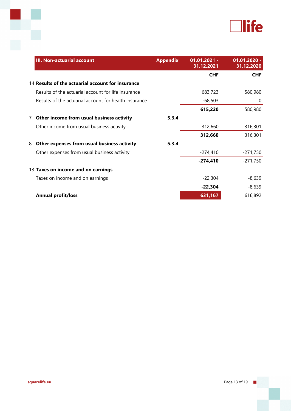

|   | <b>III. Non-actuarial account</b>                     | <b>Appendix</b> | $01.01.2021 -$<br>31.12.2021 | $01.01.2020 -$<br>31.12.2020 |
|---|-------------------------------------------------------|-----------------|------------------------------|------------------------------|
|   |                                                       |                 | <b>CHF</b>                   | <b>CHF</b>                   |
|   | 14 Results of the actuarial account for insurance     |                 |                              |                              |
|   | Results of the actuarial account for life insurance   |                 | 683,723                      | 580,980                      |
|   | Results of the actuarial account for health insurance |                 | $-68,503$                    | 0                            |
|   |                                                       |                 | 615,220                      | 580,980                      |
| 7 | Other income from usual business activity             | 5.3.4           |                              |                              |
|   | Other income from usual business activity             |                 | 312,660                      | 316,301                      |
|   |                                                       |                 | 312,660                      | 316,301                      |
| 8 | Other expenses from usual business activity           | 5.3.4           |                              |                              |
|   | Other expenses from usual business activity           |                 | $-274,410$                   | $-271,750$                   |
|   |                                                       |                 | $-274,410$                   | $-271,750$                   |
|   | 13 Taxes on income and on earnings                    |                 |                              |                              |
|   | Taxes on income and on earnings                       |                 | $-22,304$                    | $-8,639$                     |
|   |                                                       |                 | $-22,304$                    | $-8,639$                     |
|   | <b>Annual profit/loss</b>                             |                 | 631,167                      | 616,892                      |

ł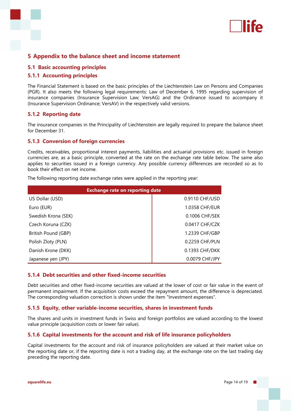

## **5 Appendix to the balance sheet and income statement**

#### **5.1 Basic accounting principles**

#### **5.1.1 Accounting principles**

The Financial Statement is based on the basic principles of the Liechtenstein Law on Persons and Companies (PGR). It also meets the following legal requirements: Law of December 6, 1995 regarding supervision of insurance companies (Insurance Supervision Law; VersAG) and the Ordinance issued to accompany it (Insurance Supervision Ordinance; VersAV) in the respectively valid versions.

#### **5.1.2 Reporting date**

The insurance companies in the Principality of Liechtenstein are legally required to prepare the balance sheet for December 31.

#### **5.1.3 Conversion of foreign currencies**

Credits, receivables, proportional interest payments, liabilities and actuarial provisions etc. issued in foreign currencies are, as a basic principle, converted at the rate on the exchange rate table below. The same also applies to securities issued in a foreign currency. Any possible currency differences are recorded so as to book their effect on net income.

The following reporting date exchange rates were applied in the reporting year:

| <b>Exchange rate on reporting date</b> |                |
|----------------------------------------|----------------|
| US Dollar (USD)                        | 0.9110 CHF/USD |
| Euro (EUR)                             | 1.0358 CHF/EUR |
| Swedish Krona (SEK)                    | 0.1006 CHF/SEK |
| Czech Koruna (CZK)                     | 0.0417 CHF/CZK |
| British Pound (GBP)                    | 1.2339 CHF/GBP |
| Polish Zloty (PLN)                     | 0.2259 CHF/PLN |
| Danish Krone (DKK)                     | 0.1393 CHF/DKK |
| Japanese yen (JPY)                     | 0.0079 CHF/JPY |

## **5.1.4 Debt securities and other fixed-income securities**

Debt securities and other fixed-income securities are valued at the lower of cost or fair value in the event of permanent impairment. If the acquisition costs exceed the repayment amount, the difference is depreciated. The corresponding valuation correction is shown under the item "Investment expenses".

#### **5.1.5 Equity, other variable-income securities, shares in investment funds**

The shares and units in investment funds in Swiss and foreign portfolios are valued according to the lowest value principle (acquisition costs or lower fair value).

#### **5.1.6 Capital investments for the account and risk of life insurance policyholders**

Capital investments for the account and risk of insurance policyholders are valued at their market value on the reporting date or, if the reporting date is not a trading day, at the exchange rate on the last trading day preceding the reporting date.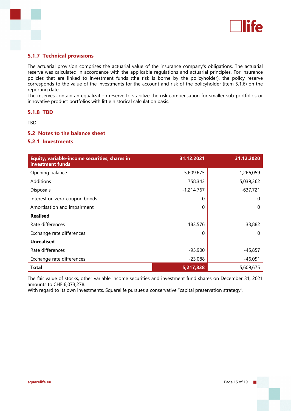

## **5.1.7 Technical provisions**

The actuarial provision comprises the actuarial value of the insurance company's obligations. The actuarial reserve was calculated in accordance with the applicable regulations and actuarial principles. For insurance policies that are linked to investment funds (the risk is borne by the policyholder), the policy reserve corresponds to the value of the investments for the account and risk of the policyholder (item 5.1.6) on the reporting date.

The reserves contain an equalization reserve to stabilize the risk compensation for smaller sub-portfolios or innovative product portfolios with little historical calculation basis.

## **5.1.8 TBD**

TBD

## **5.2 Notes to the balance sheet**

### **5.2.1 Investments**

| Equity, variable-income securities, shares in<br>investment funds | 31.12.2021   | 31.12.2020 |
|-------------------------------------------------------------------|--------------|------------|
| Opening balance                                                   | 5,609,675    | 1,266,059  |
| Additions                                                         | 758,343      | 5,039,362  |
| <b>Disposals</b>                                                  | $-1,214,767$ | $-637,721$ |
| Interest on zero-coupon bonds                                     | 0            | 0          |
| Amortisation and impairment                                       | 0            | 0          |
| <b>Realised</b>                                                   |              |            |
| Rate differences                                                  | 183,576      | 33,882     |
| Exchange rate differences                                         | 0            | 0          |
| <b>Unrealised</b>                                                 |              |            |
| Rate differences                                                  | $-95,900$    | $-45,857$  |
| Exchange rate differences                                         | $-23,088$    | -46,051    |
| <b>Total</b>                                                      | 5,217,838    | 5,609,675  |

The fair value of stocks, other variable income securities and investment fund shares on December 31, 2021 amounts to CHF 6,073,278.

With regard to its own investments, Squarelife pursues a conservative "capital preservation strategy".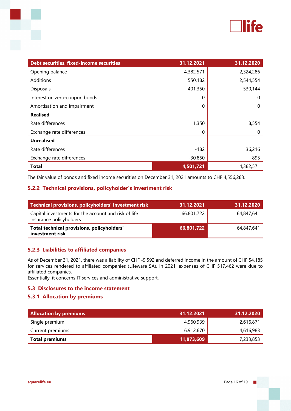

| Debt securities, fixed-income securities | 31.12.2021 | 31.12.2020 |
|------------------------------------------|------------|------------|
| Opening balance                          | 4,382,571  | 2,324,286  |
| Additions                                | 550,182    | 2,544,554  |
| Disposals                                | $-401,350$ | $-530,144$ |
| Interest on zero-coupon bonds            | 0          | 0          |
| Amortisation and impairment              | 0          | 0          |
| <b>Realised</b>                          |            |            |
| Rate differences                         | 1,350      | 8,554      |
| Exchange rate differences                | 0          | $\Omega$   |
| <b>Unrealised</b>                        |            |            |
| Rate differences                         | $-182$     | 36,216     |
| Exchange rate differences                | $-30,850$  | $-895$     |
| <b>Total</b>                             | 4,501,721  | 4,382,571  |

The fair value of bonds and fixed income securities on December 31, 2021 amounts to CHF 4,556,283.

## **5.2.2 Technical provisions, policyholder's investment risk**

| Technical provisions, policyholders' investment risk                            | 31.12.2021 | 31.12.2020 |
|---------------------------------------------------------------------------------|------------|------------|
| Capital investments for the account and risk of life<br>insurance policyholders | 66,801,722 | 64,847,641 |
| Total technical provisions, policyholders'<br>investment risk                   | 66,801,722 | 64,847,641 |

## **5.2.3 Liabilities to affiliated companies**

As of December 31, 2021, there was a liability of CHF -9,592 and deferred income in the amount of CHF 54,185 for services rendered to affiliated companies (Lifeware SA). In 2021, expenses of CHF 517,462 were due to affiliated companies.

Essentially, it concerns IT services and administrative support.

### **5.3 Disclosures to the income statement**

### **5.3.1 Allocation by premiums**

| <b>Allocation by premiums</b> | 31.12.2021 | 31.12.2020 |
|-------------------------------|------------|------------|
| Single premium                | 4,960,939  | 2,616,871  |
| Current premiums              | 6,912,670  | 4,616,983  |
| <b>Total premiums</b>         | 11,873,609 | 7,233,853  |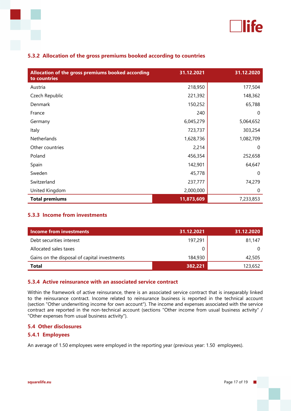

| Allocation of the gross premiums booked according<br>to countries | 31.12.2021 | 31.12.2020 |
|-------------------------------------------------------------------|------------|------------|
| Austria                                                           | 218,950    | 177,504    |
| Czech Republic                                                    | 221,392    | 148,362    |
| Denmark                                                           | 150,252    | 65,788     |
| France                                                            | 240        | $\Omega$   |
| Germany                                                           | 6,045,279  | 5,064,652  |
| Italy                                                             | 723,737    | 303,254    |
| Netherlands                                                       | 1,628,736  | 1,082,709  |
| Other countries                                                   | 2,214      | 0          |
| Poland                                                            | 456,354    | 252,658    |
| Spain                                                             | 142,901    | 64,647     |
| Sweden                                                            | 45,778     | 0          |
| Switzerland                                                       | 237,777    | 74,279     |
| United Kingdom                                                    | 2,000,000  | 0          |
| <b>Total premiums</b>                                             | 11,873,609 | 7,233,853  |

## **5.3.2 Allocation of the gross premiums booked according to countries**

## **5.3.3 Income from investments**

| Income from investments                      | 31.12.2021 | 31.12.2020 |
|----------------------------------------------|------------|------------|
| Debt securities interest                     | 197,291    | 81,147     |
| Allocated sales taxes                        |            |            |
| Gains on the disposal of capital investments | 184,930    | 42,505     |
| <b>Total</b>                                 | 382,221    | 123,652    |

## **5.3.4 Active reinsurance with an associated service contract**

Within the framework of active reinsurance, there is an associated service contract that is inseparably linked to the reinsurance contract. Income related to reinsurance business is reported in the technical account (section "Other underwriting income for own account"). The income and expenses associated with the service contract are reported in the non-technical account (sections "Other income from usual business activity" / "Other expenses from usual business activity").

## **5.4 Other disclosures**

## **5.4.1 Employees**

An average of 1.50 employees were employed in the reporting year (previous year: 1.50 employees).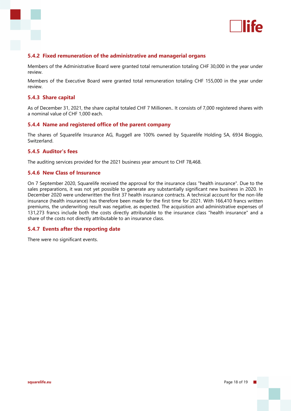

## **5.4.2 Fixed remuneration of the administrative and managerial organs**

Members of the Administrative Board were granted total remuneration totaling CHF 30,000 in the year under review.

Members of the Executive Board were granted total remuneration totaling CHF 155,000 in the year under review.

### **5.4.3 Share capital**

As of December 31, 2021, the share capital totaled CHF 7 Millionen.. It consists of 7,000 registered shares with a nominal value of CHF 1,000 each.

#### **5.4.4 Name and registered office of the parent company**

The shares of Squarelife Insurance AG, Ruggell are 100% owned by Squarelife Holding SA, 6934 Bioggio, Switzerland.

#### **5.4.5 Auditor's fees**

The auditing services provided for the 2021 business year amount to CHF 78,468.

### **5.4.6 New Class of Insurance**

On 7 September 2020, Squarelife received the approval for the insurance class "health insurance". Due to the sales preparations, it was not yet possible to generate any substantially significant new business in 2020. In December 2020 were underwritten the first 37 health insurance contracts. A technical account for the non-life insurance (health insurance) has therefore been made for the first time for 2021. With 166,410 francs written premiums, the underwriting result was negative, as expected. The acquisition and administrative expenses of 131,273 francs include both the costs directly attributable to the insurance class "health insurance" and a share of the costs not directly attributable to an insurance class.

### **5.4.7 Events after the reporting date**

There were no significant events.